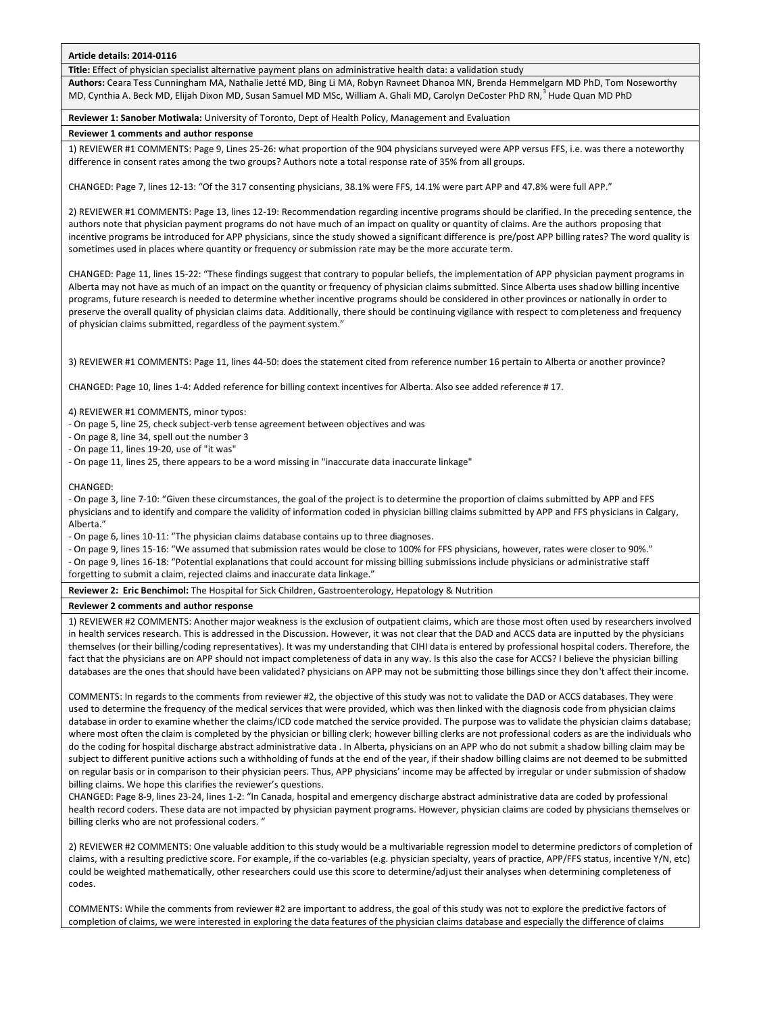## **Article details: 2014-0116**

**Title:** Effect of physician specialist alternative payment plans on administrative health data: a validation study

**Authors:** Ceara Tess Cunningham MA, Nathalie Jetté MD, Bing Li MA, Robyn Ravneet Dhanoa MN, Brenda Hemmelgarn MD PhD, Tom Noseworthy MD, Cynthia A. Beck MD, Elijah Dixon MD, Susan Samuel MD MSc, William A. Ghali MD, Carolyn DeCoster PhD RN,<sup>3</sup> Hude Quan MD PhD

### **Reviewer 1: Sanober Motiwala:** University of Toronto, Dept of Health Policy, Management and Evaluation

### **Reviewer 1 comments and author response**

1) REVIEWER #1 COMMENTS: Page 9, Lines 25-26: what proportion of the 904 physicians surveyed were APP versus FFS, i.e. was there a noteworthy difference in consent rates among the two groups? Authors note a total response rate of 35% from all groups.

CHANGED: Page 7, lines 12-13: "Of the 317 consenting physicians, 38.1% were FFS, 14.1% were part APP and 47.8% were full APP."

2) REVIEWER #1 COMMENTS: Page 13, lines 12-19: Recommendation regarding incentive programs should be clarified. In the preceding sentence, the authors note that physician payment programs do not have much of an impact on quality or quantity of claims. Are the authors proposing that incentive programs be introduced for APP physicians, since the study showed a significant difference is pre/post APP billing rates? The word quality is sometimes used in places where quantity or frequency or submission rate may be the more accurate term.

CHANGED: Page 11, lines 15-22: "These findings suggest that contrary to popular beliefs, the implementation of APP physician payment programs in Alberta may not have as much of an impact on the quantity or frequency of physician claims submitted. Since Alberta uses shadow billing incentive programs, future research is needed to determine whether incentive programs should be considered in other provinces or nationally in order to preserve the overall quality of physician claims data. Additionally, there should be continuing vigilance with respect to completeness and frequency of physician claims submitted, regardless of the payment system."

3) REVIEWER #1 COMMENTS: Page 11, lines 44-50: does the statement cited from reference number 16 pertain to Alberta or another province?

CHANGED: Page 10, lines 1-4: Added reference for billing context incentives for Alberta. Also see added reference # 17.

4) REVIEWER #1 COMMENTS, minor typos:

- On page 5, line 25, check subject-verb tense agreement between objectives and was

- On page 8, line 34, spell out the number 3

- On page 11, lines 19-20, use of "it was"

- On page 11, lines 25, there appears to be a word missing in "inaccurate data inaccurate linkage"

#### CHANGED:

- On page 3, line 7-10: "Given these circumstances, the goal of the project is to determine the proportion of claims submitted by APP and FFS physicians and to identify and compare the validity of information coded in physician billing claims submitted by APP and FFS physicians in Calgary, Alberta."

- On page 6, lines 10-11: "The physician claims database contains up to three diagnoses.

- On page 9, lines 15-16: "We assumed that submission rates would be close to 100% for FFS physicians, however, rates were closer to 90%."

- On page 9, lines 16-18: "Potential explanations that could account for missing billing submissions include physicians or administrative staff forgetting to submit a claim, rejected claims and inaccurate data linkage."

**Reviewer 2: Eric Benchimol:** The Hospital for Sick Children, Gastroenterology, Hepatology & Nutrition

# **Reviewer 2 comments and author response**

1) REVIEWER #2 COMMENTS: Another major weakness is the exclusion of outpatient claims, which are those most often used by researchers involved in health services research. This is addressed in the Discussion. However, it was not clear that the DAD and ACCS data are inputted by the physicians themselves (or their billing/coding representatives). It was my understanding that CIHI data is entered by professional hospital coders. Therefore, the fact that the physicians are on APP should not impact completeness of data in any way. Is this also the case for ACCS? I believe the physician billing databases are the ones that should have been validated? physicians on APP may not be submitting those billings since they don't affect their income.

COMMENTS: In regards to the comments from reviewer #2, the objective of this study was not to validate the DAD or ACCS databases. They were used to determine the frequency of the medical services that were provided, which was then linked with the diagnosis code from physician claims database in order to examine whether the claims/ICD code matched the service provided. The purpose was to validate the physician claims database; where most often the claim is completed by the physician or billing clerk; however billing clerks are not professional coders as are the individuals who do the coding for hospital discharge abstract administrative data . In Alberta, physicians on an APP who do not submit a shadow billing claim may be subject to different punitive actions such a withholding of funds at the end of the year, if their shadow billing claims are not deemed to be submitted on regular basis or in comparison to their physician peers. Thus, APP physicians' income may be affected by irregular or under submission of shadow billing claims. We hope this clarifies the reviewer's questions.

CHANGED: Page 8-9, lines 23-24, lines 1-2: "In Canada, hospital and emergency discharge abstract administrative data are coded by professional health record coders. These data are not impacted by physician payment programs. However, physician claims are coded by physicians themselves or billing clerks who are not professional coders. "

2) REVIEWER #2 COMMENTS: One valuable addition to this study would be a multivariable regression model to determine predictors of completion of claims, with a resulting predictive score. For example, if the co-variables (e.g. physician specialty, years of practice, APP/FFS status, incentive Y/N, etc) could be weighted mathematically, other researchers could use this score to determine/adjust their analyses when determining completeness of codes.

COMMENTS: While the comments from reviewer #2 are important to address, the goal of this study was not to explore the predictive factors of completion of claims, we were interested in exploring the data features of the physician claims database and especially the difference of claims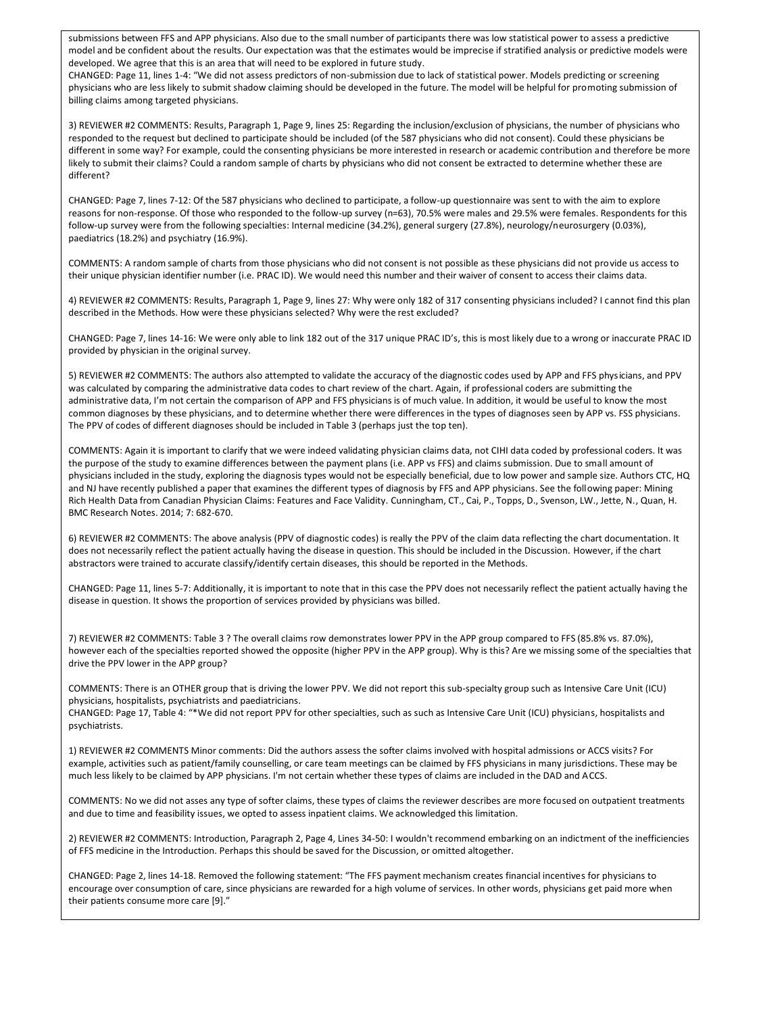submissions between FFS and APP physicians. Also due to the small number of participants there was low statistical power to assess a predictive model and be confident about the results. Our expectation was that the estimates would be imprecise if stratified analysis or predictive models were developed. We agree that this is an area that will need to be explored in future study.

CHANGED: Page 11, lines 1-4: "We did not assess predictors of non-submission due to lack of statistical power. Models predicting or screening physicians who are less likely to submit shadow claiming should be developed in the future. The model will be helpful for promoting submission of billing claims among targeted physicians.

3) REVIEWER #2 COMMENTS: Results, Paragraph 1, Page 9, lines 25: Regarding the inclusion/exclusion of physicians, the number of physicians who responded to the request but declined to participate should be included (of the 587 physicians who did not consent). Could these physicians be different in some way? For example, could the consenting physicians be more interested in research or academic contribution and therefore be more likely to submit their claims? Could a random sample of charts by physicians who did not consent be extracted to determine whether these are different?

CHANGED: Page 7, lines 7-12: Of the 587 physicians who declined to participate, a follow-up questionnaire was sent to with the aim to explore reasons for non-response. Of those who responded to the follow-up survey (n=63), 70.5% were males and 29.5% were females. Respondents for this follow-up survey were from the following specialties: Internal medicine (34.2%), general surgery (27.8%), neurology/neurosurgery (0.03%), paediatrics (18.2%) and psychiatry (16.9%).

COMMENTS: A random sample of charts from those physicians who did not consent is not possible as these physicians did not provide us access to their unique physician identifier number (i.e. PRAC ID). We would need this number and their waiver of consent to access their claims data.

4) REVIEWER #2 COMMENTS: Results, Paragraph 1, Page 9, lines 27: Why were only 182 of 317 consenting physicians included? I cannot find this plan described in the Methods. How were these physicians selected? Why were the rest excluded?

CHANGED: Page 7, lines 14-16: We were only able to link 182 out of the 317 unique PRAC ID's, this is most likely due to a wrong or inaccurate PRAC ID provided by physician in the original survey.

5) REVIEWER #2 COMMENTS: The authors also attempted to validate the accuracy of the diagnostic codes used by APP and FFS physicians, and PPV was calculated by comparing the administrative data codes to chart review of the chart. Again, if professional coders are submitting the administrative data, I'm not certain the comparison of APP and FFS physicians is of much value. In addition, it would be useful to know the most common diagnoses by these physicians, and to determine whether there were differences in the types of diagnoses seen by APP vs. FSS physicians. The PPV of codes of different diagnoses should be included in Table 3 (perhaps just the top ten).

COMMENTS: Again it is important to clarify that we were indeed validating physician claims data, not CIHI data coded by professional coders. It was the purpose of the study to examine differences between the payment plans (i.e. APP vs FFS) and claims submission. Due to small amount of physicians included in the study, exploring the diagnosis types would not be especially beneficial, due to low power and sample size. Authors CTC, HQ and NJ have recently published a paper that examines the different types of diagnosis by FFS and APP physicians. See the following paper: Mining Rich Health Data from Canadian Physician Claims: Features and Face Validity. Cunningham, CT., Cai, P., Topps, D., Svenson, LW., Jette, N., Quan, H. BMC Research Notes. 2014; 7: 682-670.

6) REVIEWER #2 COMMENTS: The above analysis (PPV of diagnostic codes) is really the PPV of the claim data reflecting the chart documentation. It does not necessarily reflect the patient actually having the disease in question. This should be included in the Discussion. However, if the chart abstractors were trained to accurate classify/identify certain diseases, this should be reported in the Methods.

CHANGED: Page 11, lines 5-7: Additionally, it is important to note that in this case the PPV does not necessarily reflect the patient actually having the disease in question. It shows the proportion of services provided by physicians was billed.

7) REVIEWER #2 COMMENTS: Table 3 ? The overall claims row demonstrates lower PPV in the APP group compared to FFS (85.8% vs. 87.0%), however each of the specialties reported showed the opposite (higher PPV in the APP group). Why is this? Are we missing some of the specialties that drive the PPV lower in the APP group?

COMMENTS: There is an OTHER group that is driving the lower PPV. We did not report this sub-specialty group such as Intensive Care Unit (ICU) physicians, hospitalists, psychiatrists and paediatricians.

CHANGED: Page 17, Table 4: "\*We did not report PPV for other specialties, such as such as Intensive Care Unit (ICU) physicians, hospitalists and psychiatrists.

1) REVIEWER #2 COMMENTS Minor comments: Did the authors assess the softer claims involved with hospital admissions or ACCS visits? For example, activities such as patient/family counselling, or care team meetings can be claimed by FFS physicians in many jurisdictions. These may be much less likely to be claimed by APP physicians. I'm not certain whether these types of claims are included in the DAD and ACCS.

COMMENTS: No we did not asses any type of softer claims, these types of claims the reviewer describes are more focused on outpatient treatments and due to time and feasibility issues, we opted to assess inpatient claims. We acknowledged this limitation.

2) REVIEWER #2 COMMENTS: Introduction, Paragraph 2, Page 4, Lines 34-50: I wouldn't recommend embarking on an indictment of the inefficiencies of FFS medicine in the Introduction. Perhaps this should be saved for the Discussion, or omitted altogether.

CHANGED: Page 2, lines 14-18. Removed the following statement: "The FFS payment mechanism creates financial incentives for physicians to encourage over consumption of care, since physicians are rewarded for a high volume of services. In other words, physicians get paid more when their patients consume more care [9]."